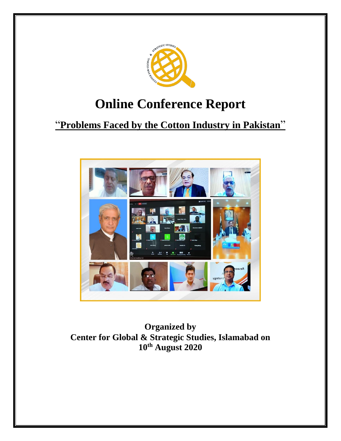

# **Online Conference Report**

## "**Problems Faced by the Cotton Industry in Pakistan**"



**Organized by Center for Global & Strategic Studies, Islamabad on 10th August 2020**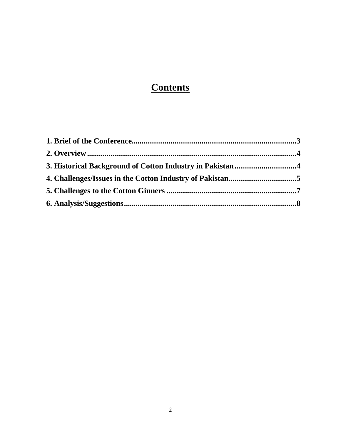### **Contents**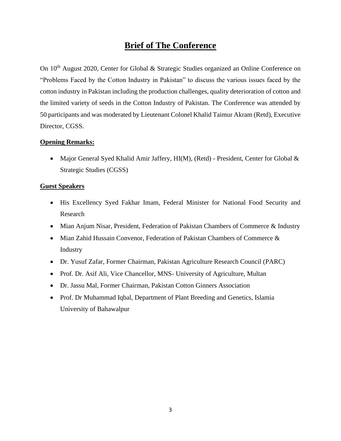### **Brief of The Conference**

<span id="page-2-0"></span>On 10<sup>th</sup> August 2020, Center for Global & Strategic Studies organized an Online Conference on "Problems Faced by the Cotton Industry in Pakistan" to discuss the various issues faced by the cotton industry in Pakistan including the production challenges, quality deterioration of cotton and the limited variety of seeds in the Cotton Industry of Pakistan. The Conference was attended by 50 participants and was moderated by Lieutenant Colonel Khalid Taimur Akram (Retd), Executive Director, CGSS.

#### **Opening Remarks:**

• Major General Syed Khalid Amir Jaffery, HI(M), (Retd) - President, Center for Global & Strategic Studies (CGSS)

#### **Guest Speakers**

- His Excellency Syed Fakhar Imam, Federal Minister for National Food Security and Research
- Mian Anjum Nisar, President, Federation of Pakistan Chambers of Commerce & Industry
- Mian Zahid Hussain Convenor, Federation of Pakistan Chambers of Commerce & Industry
- Dr. Yusuf Zafar, Former Chairman, Pakistan Agriculture Research Council (PARC)
- Prof. Dr. Asif Ali, Vice Chancellor, MNS- University of Agriculture, Multan
- Dr. Jassu Mal, Former Chairman, Pakistan Cotton Ginners Association
- Prof. Dr Muhammad Iqbal, Department of Plant Breeding and Genetics, Islamia University of Bahawalpur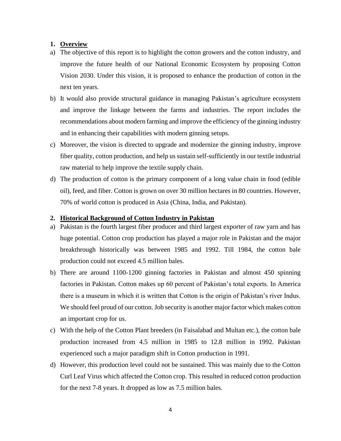#### <span id="page-3-0"></span>**1. Overview**

- a) The objective of this report is to highlight the cotton growers and the cotton industry, and improve the future health of our National Economic Ecosystem by proposing Cotton Vision 2030. Under this vision, it is proposed to enhance the production of cotton in the next ten years.
- b) It would also provide structural guidance in managing Pakistan's agriculture ecosystem and improve the linkage between the farms and industries. The report includes the recommendations about modern farming and improve the efficiency of the ginning industry and in enhancing their capabilities with modern ginning setups.
- c) Moreover, the vision is directed to upgrade and modernize the ginning industry, improve fiber quality, cotton production, and help us sustain self-sufficiently in our textile industrial raw material to help improve the textile supply chain.
- d) The production of cotton is the primary component of a long value chain in food (edible oil), feed, and fiber. Cotton is grown on over 30 million hectares in 80 countries. However, 70% of world cotton is produced in Asia (China, India, and Pakistan).

#### <span id="page-3-1"></span>**2. Historical Background of Cotton Industry in Pakistan**

- a) Pakistan is the fourth largest fiber producer and third largest exporter of raw yarn and has huge potential. Cotton crop production has played a major role in Pakistan and the major breakthrough historically was between 1985 and 1992. Till 1984, the cotton bale production could not exceed 4.5 million bales.
- b) There are around 1100-1200 ginning factories in Pakistan and almost 450 spinning factories in Pakistan. Cotton makes up 60 percent of Pakistan's total exports. In America there is a museum in which it is written that Cotton is the origin of Pakistan's river Indus. We should feel proud of our cotton. Job security is another major factor which makes cotton an important crop for us.
- c) With the help of the Cotton Plant breeders (in Faisalabad and Multan etc.), the cotton bale production increased from 4.5 million in 1985 to 12.8 million in 1992. Pakistan experienced such a major paradigm shift in Cotton production in 1991.
- d) However, this production level could not be sustained. This was mainly due to the Cotton Curl Leaf Virus which affected the Cotton crop. This resulted in reduced cotton production for the next 7-8 years. It dropped as low as 7.5 million bales.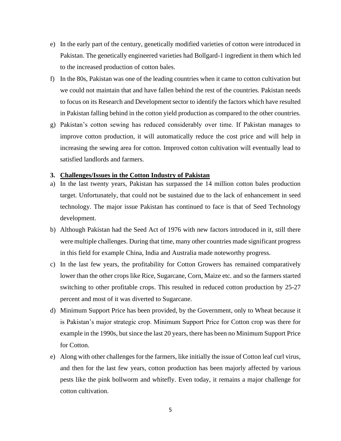- e) In the early part of the century, genetically modified varieties of cotton were introduced in Pakistan. The genetically engineered varieties had Bollgard-1 ingredient in them which led to the increased production of cotton bales.
- f) In the 80s, Pakistan was one of the leading countries when it came to cotton cultivation but we could not maintain that and have fallen behind the rest of the countries. Pakistan needs to focus on its Research and Development sector to identify the factors which have resulted in Pakistan falling behind in the cotton yield production as compared to the other countries.
- g) Pakistan's cotton sewing has reduced considerably over time. If Pakistan manages to improve cotton production, it will automatically reduce the cost price and will help in increasing the sewing area for cotton. Improved cotton cultivation will eventually lead to satisfied landlords and farmers.

#### <span id="page-4-0"></span>**3. Challenges/Issues in the Cotton Industry of Pakistan**

- a) In the last twenty years, Pakistan has surpassed the 14 million cotton bales production target. Unfortunately, that could not be sustained due to the lack of enhancement in seed technology. The major issue Pakistan has continued to face is that of Seed Technology development.
- b) Although Pakistan had the Seed Act of 1976 with new factors introduced in it, still there were multiple challenges. During that time, many other countries made significant progress in this field for example China, India and Australia made noteworthy progress.
- c) In the last few years, the profitability for Cotton Growers has remained comparatively lower than the other crops like Rice, Sugarcane, Corn, Maize etc. and so the farmers started switching to other profitable crops. This resulted in reduced cotton production by 25-27 percent and most of it was diverted to Sugarcane.
- d) Minimum Support Price has been provided, by the Government, only to Wheat because it is Pakistan's major strategic crop. Minimum Support Price for Cotton crop was there for example in the 1990s, but since the last 20 years, there has been no Minimum Support Price for Cotton.
- e) Along with other challenges for the farmers, like initially the issue of Cotton leaf curl virus, and then for the last few years, cotton production has been majorly affected by various pests like the pink bollworm and whitefly. Even today, it remains a major challenge for cotton cultivation.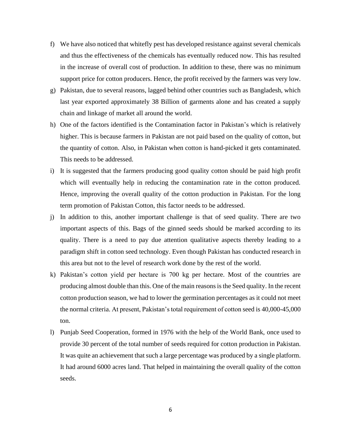- f) We have also noticed that whitefly pest has developed resistance against several chemicals and thus the effectiveness of the chemicals has eventually reduced now. This has resulted in the increase of overall cost of production. In addition to these, there was no minimum support price for cotton producers. Hence, the profit received by the farmers was very low.
- g) Pakistan, due to several reasons, lagged behind other countries such as Bangladesh, which last year exported approximately 38 Billion of garments alone and has created a supply chain and linkage of market all around the world.
- h) One of the factors identified is the Contamination factor in Pakistan's which is relatively higher. This is because farmers in Pakistan are not paid based on the quality of cotton, but the quantity of cotton. Also, in Pakistan when cotton is hand-picked it gets contaminated. This needs to be addressed.
- i) It is suggested that the farmers producing good quality cotton should be paid high profit which will eventually help in reducing the contamination rate in the cotton produced. Hence, improving the overall quality of the cotton production in Pakistan. For the long term promotion of Pakistan Cotton, this factor needs to be addressed.
- j) In addition to this, another important challenge is that of seed quality. There are two important aspects of this. Bags of the ginned seeds should be marked according to its quality. There is a need to pay due attention qualitative aspects thereby leading to a paradigm shift in cotton seed technology. Even though Pakistan has conducted research in this area but not to the level of research work done by the rest of the world.
- k) Pakistan's cotton yield per hectare is 700 kg per hectare. Most of the countries are producing almost double than this. One of the main reasons is the Seed quality. In the recent cotton production season, we had to lower the germination percentages as it could not meet the normal criteria. At present, Pakistan's total requirement of cotton seed is 40,000-45,000 ton.
- l) Punjab Seed Cooperation, formed in 1976 with the help of the World Bank, once used to provide 30 percent of the total number of seeds required for cotton production in Pakistan. It was quite an achievement that such a large percentage was produced by a single platform. It had around 6000 acres land. That helped in maintaining the overall quality of the cotton seeds.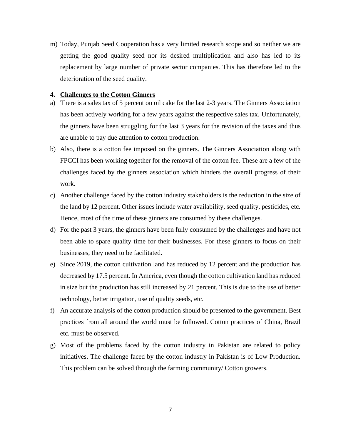m) Today, Punjab Seed Cooperation has a very limited research scope and so neither we are getting the good quality seed nor its desired multiplication and also has led to its replacement by large number of private sector companies. This has therefore led to the deterioration of the seed quality.

#### <span id="page-6-0"></span>**4. Challenges to the Cotton Ginners**

- a) There is a sales tax of 5 percent on oil cake for the last 2-3 years. The Ginners Association has been actively working for a few years against the respective sales tax. Unfortunately, the ginners have been struggling for the last 3 years for the revision of the taxes and thus are unable to pay due attention to cotton production.
- b) Also, there is a cotton fee imposed on the ginners. The Ginners Association along with FPCCI has been working together for the removal of the cotton fee. These are a few of the challenges faced by the ginners association which hinders the overall progress of their work.
- c) Another challenge faced by the cotton industry stakeholders is the reduction in the size of the land by 12 percent. Other issues include water availability, seed quality, pesticides, etc. Hence, most of the time of these ginners are consumed by these challenges.
- d) For the past 3 years, the ginners have been fully consumed by the challenges and have not been able to spare quality time for their businesses. For these ginners to focus on their businesses, they need to be facilitated.
- e) Since 2019, the cotton cultivation land has reduced by 12 percent and the production has decreased by 17.5 percent. In America, even though the cotton cultivation land has reduced in size but the production has still increased by 21 percent. This is due to the use of better technology, better irrigation, use of quality seeds, etc.
- f) An accurate analysis of the cotton production should be presented to the government. Best practices from all around the world must be followed. Cotton practices of China, Brazil etc. must be observed.
- g) Most of the problems faced by the cotton industry in Pakistan are related to policy initiatives. The challenge faced by the cotton industry in Pakistan is of Low Production. This problem can be solved through the farming community/ Cotton growers.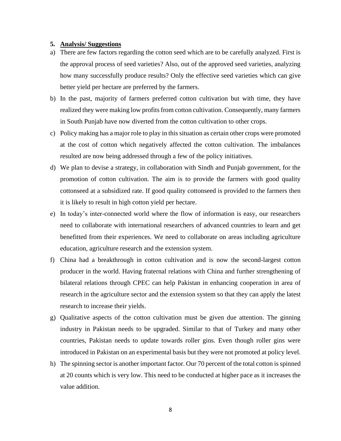#### <span id="page-7-0"></span>**5. Analysis/ Suggestions**

- a) There are few factors regarding the cotton seed which are to be carefully analyzed. First is the approval process of seed varieties? Also, out of the approved seed varieties, analyzing how many successfully produce results? Only the effective seed varieties which can give better yield per hectare are preferred by the farmers.
- b) In the past, majority of farmers preferred cotton cultivation but with time, they have realized they were making low profits from cotton cultivation. Consequently, many farmers in South Punjab have now diverted from the cotton cultivation to other crops.
- c) Policy making has a major role to play in this situation as certain other crops were promoted at the cost of cotton which negatively affected the cotton cultivation. The imbalances resulted are now being addressed through a few of the policy initiatives.
- d) We plan to devise a strategy, in collaboration with Sindh and Punjab government, for the promotion of cotton cultivation. The aim is to provide the farmers with good quality cottonseed at a subsidized rate. If good quality cottonseed is provided to the farmers then it is likely to result in high cotton yield per hectare.
- e) In today's inter-connected world where the flow of information is easy, our researchers need to collaborate with international researchers of advanced countries to learn and get benefitted from their experiences. We need to collaborate on areas including agriculture education, agriculture research and the extension system.
- f) China had a breakthrough in cotton cultivation and is now the second-largest cotton producer in the world. Having fraternal relations with China and further strengthening of bilateral relations through CPEC can help Pakistan in enhancing cooperation in area of research in the agriculture sector and the extension system so that they can apply the latest research to increase their yields.
- g) Qualitative aspects of the cotton cultivation must be given due attention. The ginning industry in Pakistan needs to be upgraded. Similar to that of Turkey and many other countries, Pakistan needs to update towards roller gins. Even though roller gins were introduced in Pakistan on an experimental basis but they were not promoted at policy level.
- h) The spinning sector is another important factor. Our 70 percent of the total cotton is spinned at 20 counts which is very low. This need to be conducted at higher pace as it increases the value addition.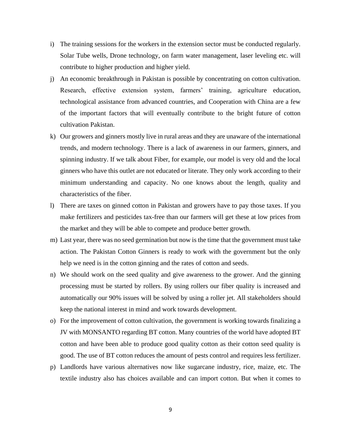- i) The training sessions for the workers in the extension sector must be conducted regularly. Solar Tube wells, Drone technology, on farm water management, laser leveling etc. will contribute to higher production and higher yield.
- j) An economic breakthrough in Pakistan is possible by concentrating on cotton cultivation. Research, effective extension system, farmers' training, agriculture education, technological assistance from advanced countries, and Cooperation with China are a few of the important factors that will eventually contribute to the bright future of cotton cultivation Pakistan.
- k) Our growers and ginners mostly live in rural areas and they are unaware of the international trends, and modern technology. There is a lack of awareness in our farmers, ginners, and spinning industry. If we talk about Fiber, for example, our model is very old and the local ginners who have this outlet are not educated or literate. They only work according to their minimum understanding and capacity. No one knows about the length, quality and characteristics of the fiber.
- l) There are taxes on ginned cotton in Pakistan and growers have to pay those taxes. If you make fertilizers and pesticides tax-free than our farmers will get these at low prices from the market and they will be able to compete and produce better growth.
- m) Last year, there was no seed germination but now is the time that the government must take action. The Pakistan Cotton Ginners is ready to work with the government but the only help we need is in the cotton ginning and the rates of cotton and seeds.
- n) We should work on the seed quality and give awareness to the grower. And the ginning processing must be started by rollers. By using rollers our fiber quality is increased and automatically our 90% issues will be solved by using a roller jet. All stakeholders should keep the national interest in mind and work towards development.
- o) For the improvement of cotton cultivation, the government is working towards finalizing a JV with MONSANTO regarding BT cotton. Many countries of the world have adopted BT cotton and have been able to produce good quality cotton as their cotton seed quality is good. The use of BT cotton reduces the amount of pests control and requires less fertilizer.
- p) Landlords have various alternatives now like sugarcane industry, rice, maize, etc. The textile industry also has choices available and can import cotton. But when it comes to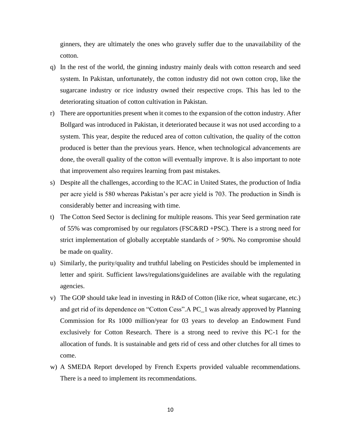ginners, they are ultimately the ones who gravely suffer due to the unavailability of the cotton.

- q) In the rest of the world, the ginning industry mainly deals with cotton research and seed system. In Pakistan, unfortunately, the cotton industry did not own cotton crop, like the sugarcane industry or rice industry owned their respective crops. This has led to the deteriorating situation of cotton cultivation in Pakistan.
- r) There are opportunities present when it comes to the expansion of the cotton industry. After Bollgard was introduced in Pakistan, it deteriorated because it was not used according to a system. This year, despite the reduced area of cotton cultivation, the quality of the cotton produced is better than the previous years. Hence, when technological advancements are done, the overall quality of the cotton will eventually improve. It is also important to note that improvement also requires learning from past mistakes.
- s) Despite all the challenges, according to the ICAC in United States, the production of India per acre yield is 580 whereas Pakistan's per acre yield is 703. The production in Sindh is considerably better and increasing with time.
- t) The Cotton Seed Sector is declining for multiple reasons. This year Seed germination rate of 55% was compromised by our regulators (FSC&RD +PSC). There is a strong need for strict implementation of globally acceptable standards of > 90%. No compromise should be made on quality.
- u) Similarly, the purity/quality and truthful labeling on Pesticides should be implemented in letter and spirit. Sufficient laws/regulations/guidelines are available with the regulating agencies.
- v) The GOP should take lead in investing in R&D of Cotton (like rice, wheat sugarcane, etc.) and get rid of its dependence on "Cotton Cess".A PC\_1 was already approved by Planning Commission for Rs 1000 million/year for 03 years to develop an Endowment Fund exclusively for Cotton Research. There is a strong need to revive this PC-1 for the allocation of funds. It is sustainable and gets rid of cess and other clutches for all times to come.
- w) A SMEDA Report developed by French Experts provided valuable recommendations. There is a need to implement its recommendations.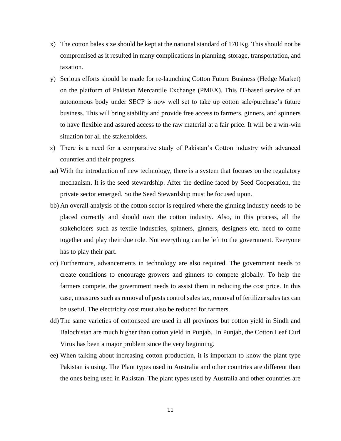- x) The cotton bales size should be kept at the national standard of  $170$  Kg. This should not be compromised as it resulted in many complications in planning, storage, transportation, and taxation.
- y) Serious efforts should be made for re-launching Cotton Future Business (Hedge Market) on the platform of Pakistan Mercantile Exchange (PMEX). This IT-based service of an autonomous body under SECP is now well set to take up cotton sale/purchase's future business. This will bring stability and provide free access to farmers, ginners, and spinners to have flexible and assured access to the raw material at a fair price. It will be a win-win situation for all the stakeholders.
- z) There is a need for a comparative study of Pakistan's Cotton industry with advanced countries and their progress.
- aa) With the introduction of new technology, there is a system that focuses on the regulatory mechanism. It is the seed stewardship. After the decline faced by Seed Cooperation, the private sector emerged. So the Seed Stewardship must be focused upon.
- bb) An overall analysis of the cotton sector is required where the ginning industry needs to be placed correctly and should own the cotton industry. Also, in this process, all the stakeholders such as textile industries, spinners, ginners, designers etc. need to come together and play their due role. Not everything can be left to the government. Everyone has to play their part.
- cc) Furthermore, advancements in technology are also required. The government needs to create conditions to encourage growers and ginners to compete globally. To help the farmers compete, the government needs to assist them in reducing the cost price. In this case, measures such as removal of pests control sales tax, removal of fertilizer sales tax can be useful. The electricity cost must also be reduced for farmers.
- dd) The same varieties of cottonseed are used in all provinces but cotton yield in Sindh and Balochistan are much higher than cotton yield in Punjab. In Punjab, the Cotton Leaf Curl Virus has been a major problem since the very beginning.
- ee) When talking about increasing cotton production, it is important to know the plant type Pakistan is using. The Plant types used in Australia and other countries are different than the ones being used in Pakistan. The plant types used by Australia and other countries are